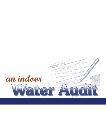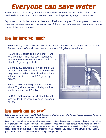# Everyone can save water

Saving water could save you hundreds of dollars per year. Water audits – the process used to determine how much water you use – can help identify ways to save water.

Equipment used in the home has been modified over the past 20 or so years to use less water as we have become more conscious of the amount of water we consume and more aware of the need to save it.

## how far have we come?

- Before 1980, taking a **shower** would mean using between 5 and 8 gallons per minute. Present day low-flow shower heads use about 2.5 gallons per minute.
- Before 1950, **toilets** required about 7 gallons per flush. This has been reduced to today's more water efficient ones, which use about 1.6 gallons per flush.
- Before 1980, between 3 to 7 gallons of water per minute could flow from **faucets** when they were turned on. Now, low-flow or lowvolume faucets use about 2.5 gallons per minute.
- Before 1980, **washing clothes** required about 56 gallons per load. Today, clothes washers use about 27 gallons.
- In 1980, **dishwashers** used about 14 gallons per load. Present day ones use about 7 gallons.



### how much can we save?

**Before beginning the water audit, first determine whether to use the lowest figures provided for each of the activities or the highest figures listed.**

If you do not have fairly new household equipment or low-flow showerheads, faucets or toilets, you should use the higher usage rates suggested rather than the lower ones. You also can consult your owner's manuals for usage rates. If you do not know the flow-rates of faucets or showerheads, turn each on to the flow typically used. Hold a gallon bucket under it and record how many gallons you obtain in one minute. If you can fill a gallon bucket in 15 seconds, you would use 4 gallons per minute.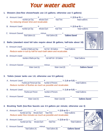## Your water audit

|                                                                                                                                                                   |                                                                                                                               | 1. Showers (low-flow showerheads use 2.5 gallons; otherwise use 5 gallons)                                                                                              |  |  |  |  |  |  |  |
|-------------------------------------------------------------------------------------------------------------------------------------------------------------------|-------------------------------------------------------------------------------------------------------------------------------|-------------------------------------------------------------------------------------------------------------------------------------------------------------------------|--|--|--|--|--|--|--|
|                                                                                                                                                                   |                                                                                                                               |                                                                                                                                                                         |  |  |  |  |  |  |  |
|                                                                                                                                                                   | A. Amount Used: $X = X$ $\overline{X} = \frac{1}{\text{Total Time}}$ $X (2.5 \text{ or } 5) = \frac{1}{\text{Total Gallons}}$ |                                                                                                                                                                         |  |  |  |  |  |  |  |
|                                                                                                                                                                   |                                                                                                                               | Try reducing shower time and recalculate.                                                                                                                               |  |  |  |  |  |  |  |
|                                                                                                                                                                   |                                                                                                                               | B. Amount Used: $X = 25$ or 5) = $X$ (2.5 or 5) = $X$ (2.5 or 5) = $X$ (2.5 or 5) = $X$                                                                                 |  |  |  |  |  |  |  |
|                                                                                                                                                                   |                                                                                                                               |                                                                                                                                                                         |  |  |  |  |  |  |  |
|                                                                                                                                                                   |                                                                                                                               | C. Amount Saved: $\frac{1}{\text{Total Gallons (A)}}$ minus $\frac{1}{\text{Total Gallons (B)}} = \frac{1}{\text{Gallons Saved}}$                                       |  |  |  |  |  |  |  |
|                                                                                                                                                                   |                                                                                                                               |                                                                                                                                                                         |  |  |  |  |  |  |  |
|                                                                                                                                                                   |                                                                                                                               |                                                                                                                                                                         |  |  |  |  |  |  |  |
|                                                                                                                                                                   |                                                                                                                               | 2. Baths (standard sized full tubs require about 36 gallons; half-tubs about 18)                                                                                        |  |  |  |  |  |  |  |
|                                                                                                                                                                   |                                                                                                                               |                                                                                                                                                                         |  |  |  |  |  |  |  |
| A. Amount Used: $X =$<br>Number of Baths per Day $X =$<br>Tub Full = 36 Gallons Total Gallons<br>Reduce water in tub by half for each bath taken and recalculate. |                                                                                                                               |                                                                                                                                                                         |  |  |  |  |  |  |  |
|                                                                                                                                                                   |                                                                                                                               |                                                                                                                                                                         |  |  |  |  |  |  |  |
|                                                                                                                                                                   |                                                                                                                               | B. Amount Used: $X = N$<br>Number of Baths per Day Tub Half Full = 18 Gallons Total Gallons                                                                             |  |  |  |  |  |  |  |
|                                                                                                                                                                   |                                                                                                                               |                                                                                                                                                                         |  |  |  |  |  |  |  |
|                                                                                                                                                                   |                                                                                                                               |                                                                                                                                                                         |  |  |  |  |  |  |  |
|                                                                                                                                                                   |                                                                                                                               | C. Amount Saved: $\frac{1}{\text{Water Used (A)}}$ minus $\frac{1}{\text{Water Used (B)}} = \frac{1}{\text{Galloss Saved}}$                                             |  |  |  |  |  |  |  |
|                                                                                                                                                                   |                                                                                                                               |                                                                                                                                                                         |  |  |  |  |  |  |  |
|                                                                                                                                                                   |                                                                                                                               |                                                                                                                                                                         |  |  |  |  |  |  |  |
|                                                                                                                                                                   |                                                                                                                               | 3. Toilets (newer tanks use 1.6; otherwise use 5.5 gallons)                                                                                                             |  |  |  |  |  |  |  |
|                                                                                                                                                                   |                                                                                                                               |                                                                                                                                                                         |  |  |  |  |  |  |  |
|                                                                                                                                                                   |                                                                                                                               | A. Amount Used: $X = K$ (1.6 or 5.5) = $K$ (1.6 or 5.5) = Flushes per Person per Day Number of Persons                                                                  |  |  |  |  |  |  |  |
|                                                                                                                                                                   | Reduce number of flushes as much as possible and recalculate.                                                                 |                                                                                                                                                                         |  |  |  |  |  |  |  |
|                                                                                                                                                                   |                                                                                                                               |                                                                                                                                                                         |  |  |  |  |  |  |  |
|                                                                                                                                                                   |                                                                                                                               | B. Amount Used: $\frac{x}{\text{Flushes per Person}}$ $\frac{x}{\text{Number of Persons}}$ $\frac{x}{\text{Total Gallons}}$                                             |  |  |  |  |  |  |  |
|                                                                                                                                                                   |                                                                                                                               |                                                                                                                                                                         |  |  |  |  |  |  |  |
|                                                                                                                                                                   |                                                                                                                               |                                                                                                                                                                         |  |  |  |  |  |  |  |
|                                                                                                                                                                   |                                                                                                                               |                                                                                                                                                                         |  |  |  |  |  |  |  |
|                                                                                                                                                                   |                                                                                                                               |                                                                                                                                                                         |  |  |  |  |  |  |  |
|                                                                                                                                                                   |                                                                                                                               | 4. Brushing Teeth (low-flow faucets use 2.5 gallons per minute; otherwise use 3)                                                                                        |  |  |  |  |  |  |  |
|                                                                                                                                                                   |                                                                                                                               | A. Amount Used: $X = \frac{X}{\text{Number per Day}}$ Minutes Each Total Time $X(2.5 \text{ or } 3) = \frac{1}{\text{Total Gallons}}$                                   |  |  |  |  |  |  |  |
|                                                                                                                                                                   |                                                                                                                               | Reduce water flow minutes as much as possible and recalculate.                                                                                                          |  |  |  |  |  |  |  |
|                                                                                                                                                                   |                                                                                                                               |                                                                                                                                                                         |  |  |  |  |  |  |  |
|                                                                                                                                                                   |                                                                                                                               | B. Amount Used: $X_{\text{Number per Day}} = \frac{1}{\text{Number per Day}} = \frac{1}{\text{Total Time}} \times (2.5 \text{ or } 3) = \frac{1}{\text{Total Gallons}}$ |  |  |  |  |  |  |  |
|                                                                                                                                                                   |                                                                                                                               |                                                                                                                                                                         |  |  |  |  |  |  |  |
|                                                                                                                                                                   |                                                                                                                               | C. Amount Saved: $\frac{1}{\text{Total Gallons (A)}}$ minus $\frac{1}{\text{Total Gallons (B)}} = \frac{1}{\text{Gallons Saved}}$                                       |  |  |  |  |  |  |  |
|                                                                                                                                                                   |                                                                                                                               |                                                                                                                                                                         |  |  |  |  |  |  |  |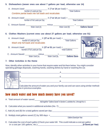### **5. Dishwashers (newer ones use about 7 gallons per load, otherwise use 14)**

| A. Amount Used: $X (7 or 14 per load) =$<br>Number of Loads per Day<br>Combine partial loads into full loads and recalculate. |                      |  |
|-------------------------------------------------------------------------------------------------------------------------------|----------------------|--|
| B. Amount Used: $X (7 or 14 per load) =$ Total Gallons                                                                        |                      |  |
|                                                                                                                               |                      |  |
| 6. Clothes Washers (current ones use about 27 gallons per load; otherwise use 51)                                             |                      |  |
| Number of Loads per Day<br>Wash only full loads and recalculate.                                                              | <b>Total Gallons</b> |  |
| Number of Full Loads per Day                                                                                                  | <b>Total Gallons</b> |  |

C. Amount Saved:  $\frac{1}{\text{Water Used (A)}}$  minus  $\frac{1}{\text{Water Used (B)}} = \frac{1}{\text{Gallons Save}}$ 



#### **7. Other Activities in the Home**

Now, identify other activities in your home that require water and list them below. You might consider operating garbage disposals, washing hands, washing dishes by hand or washing the car.

| Calculate the amount of water you and your family use and can save using similar methods<br>as in previous examples. |  |  |  |
|----------------------------------------------------------------------------------------------------------------------|--|--|--|

### how much water and how much money have you saved?

| A. Total amount of water saved:                                                                                                          |
|------------------------------------------------------------------------------------------------------------------------------------------|
| Add together "Gallons Saved" in Section C, activities No. 1 through No. 6.                                                               |
| B. Calculate what you saved in additional activities (No. 7): [10] Decree the calculate what you saved in additional activities (No. 7): |
| C. Add (A) and (B) for a total gallons saved per day:                                                                                    |
| D. Multiply total gallons saved $(C)$ by 365 days $=$                                                                                    |
| <b>Gallons Saved per Year</b>                                                                                                            |
| E. Calculate the cost of each gallon (Check your water bill. This could indicate a cost per gallon<br>(\$ Saved per Year)                |